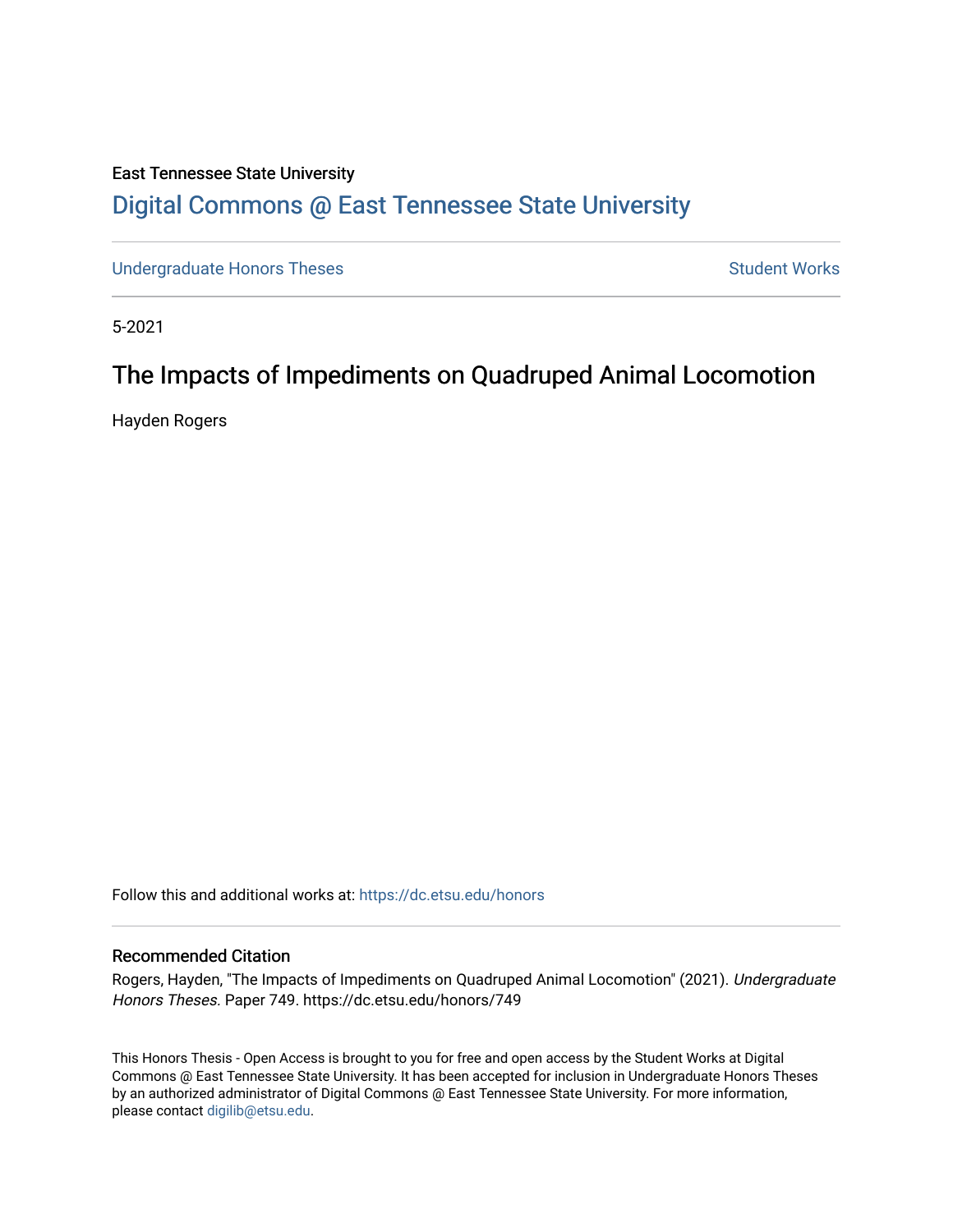#### East Tennessee State University [Digital Commons @ East Tennessee State University](https://dc.etsu.edu/)

[Undergraduate Honors Theses](https://dc.etsu.edu/honors) **Student Works** Student Works

5-2021

# The Impacts of Impediments on Quadruped Animal Locomotion

Hayden Rogers

Follow this and additional works at: [https://dc.etsu.edu/honors](https://dc.etsu.edu/honors?utm_source=dc.etsu.edu%2Fhonors%2F749&utm_medium=PDF&utm_campaign=PDFCoverPages)

#### Recommended Citation

Rogers, Hayden, "The Impacts of Impediments on Quadruped Animal Locomotion" (2021). Undergraduate Honors Theses. Paper 749. https://dc.etsu.edu/honors/749

This Honors Thesis - Open Access is brought to you for free and open access by the Student Works at Digital Commons @ East Tennessee State University. It has been accepted for inclusion in Undergraduate Honors Theses by an authorized administrator of Digital Commons @ East Tennessee State University. For more information, please contact [digilib@etsu.edu.](mailto:digilib@etsu.edu)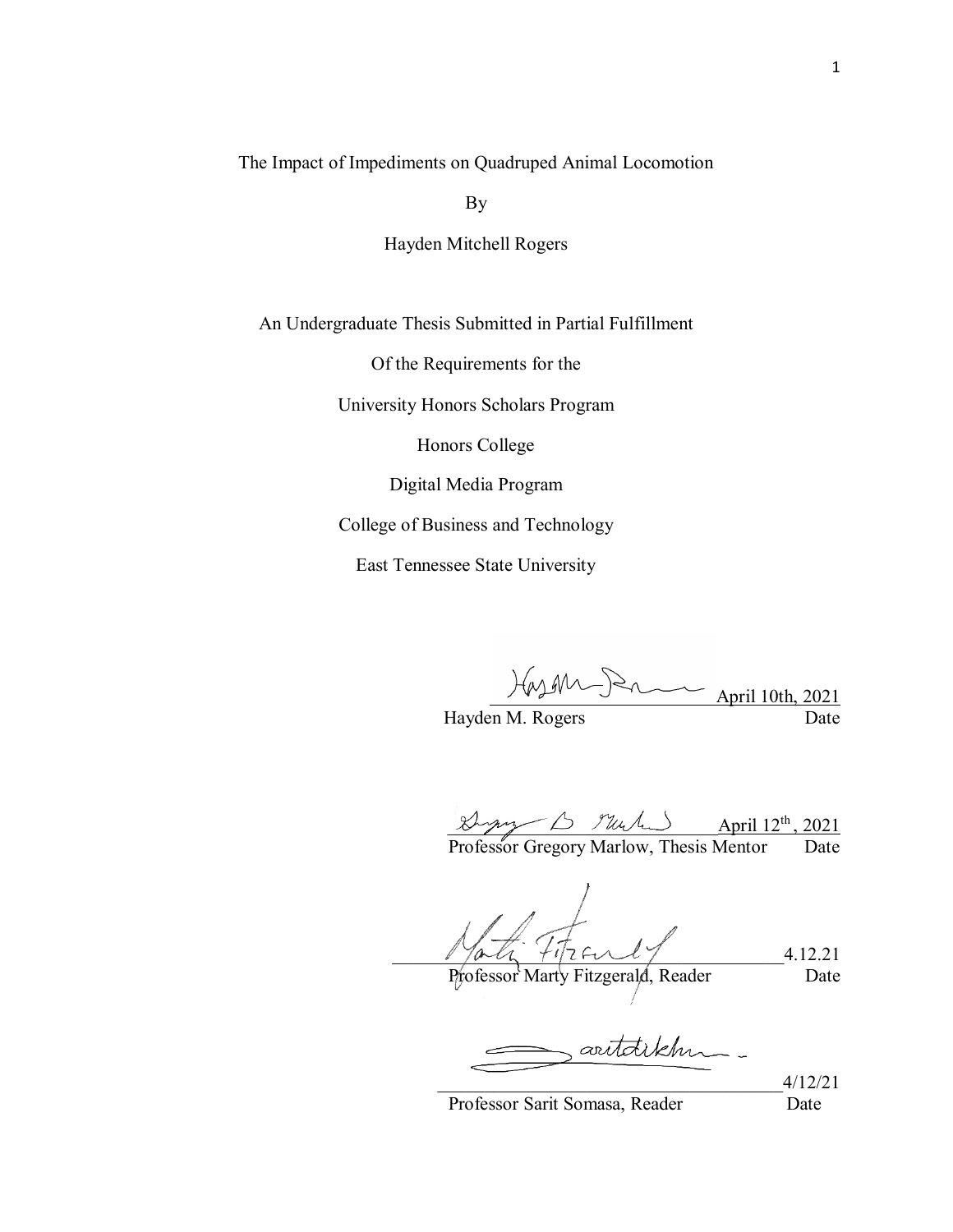The Impact of Impediments on Quadruped Animal Locomotion

By

Hayden Mitchell Rogers

An Undergraduate Thesis Submitted in Partial Fulfillment

Of the Requirements for the

University Honors Scholars Program

Honors College

Digital Media Program

College of Business and Technology

East Tennessee State University

April 10th,  $2$  $Hayden M. Rogers$  April 10th, 2021

 $\mathcal{L}_{\mathcal{M}\mathcal{M}}$   $\mathcal{L}_{\mathcal{M}}$   $\mathcal{L}_{\mathcal{M}}$   $\mathcal{L}_{\mathcal{M}}$   $\mathcal{L}_{\mathcal{M}}$   $\mathcal{L}_{\mathcal{M}}$   $\mathcal{L}_{\mathcal{M}}$   $\mathcal{L}_{\mathcal{M}}$   $\mathcal{L}_{\mathcal{M}}$   $\mathcal{L}_{\mathcal{M}}$   $\mathcal{L}_{\mathcal{M}}$   $\mathcal{L}_{\mathcal{M}}$   $\mathcal{L}_{\mathcal{M}}$   $\mathcal{L}_{\mathcal{M}}$   $\mathcal{L$ 

Professor Gregory Marlow, Thesis Mentor Date

 $17a4 \ +17261$ Professor Marty Fitzgerald, Reader Date

artaikhn.

\_\_\_\_\_\_\_\_\_\_\_\_\_\_\_\_\_\_\_\_\_\_\_\_\_\_\_\_\_\_\_\_\_\_\_\_\_4/12/21

Professor Sarit Somasa, Reader Date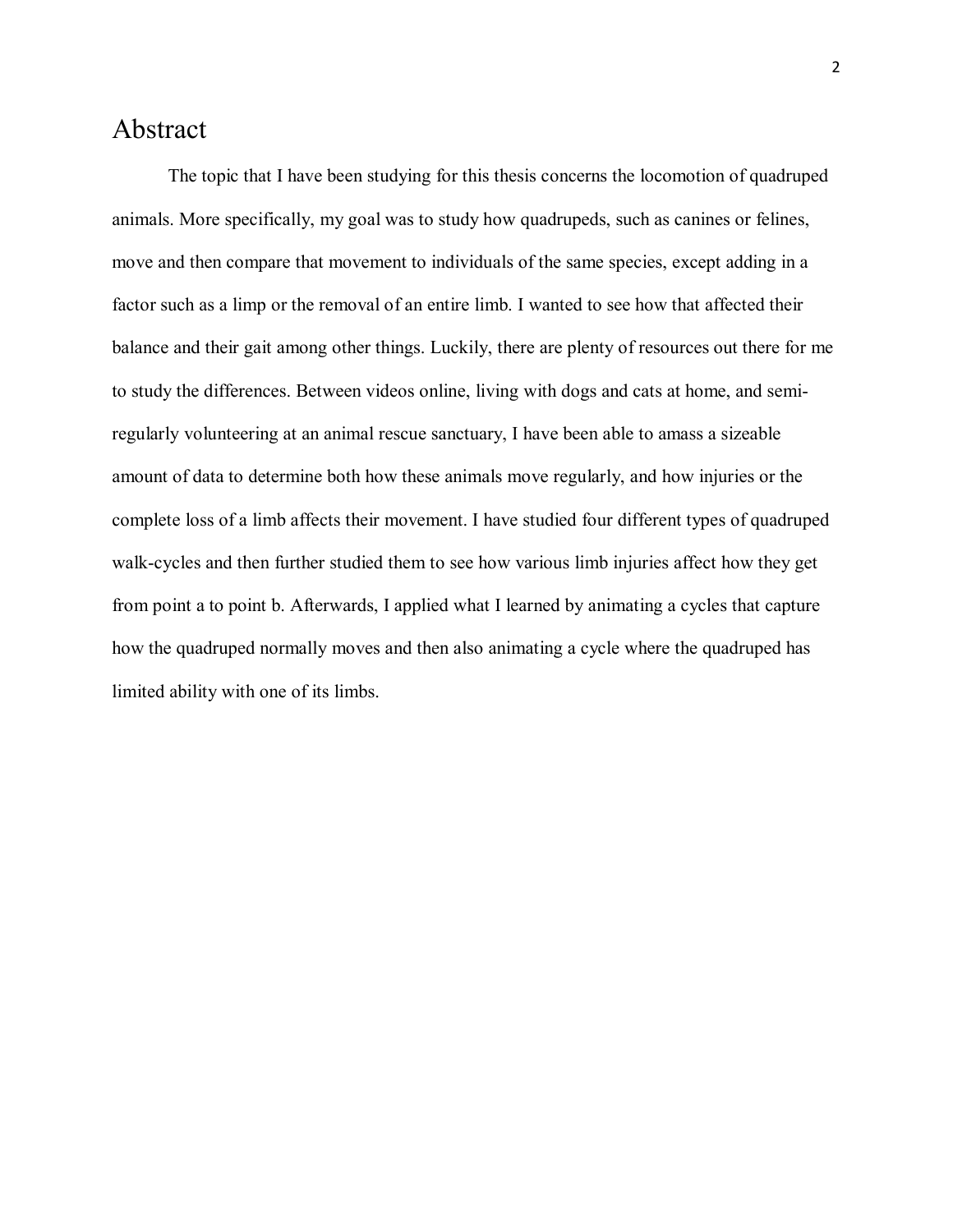#### Abstract

The topic that I have been studying for this thesis concerns the locomotion of quadruped animals. More specifically, my goal was to study how quadrupeds, such as canines or felines, move and then compare that movement to individuals of the same species, except adding in a factor such as a limp or the removal of an entire limb. I wanted to see how that affected their balance and their gait among other things. Luckily, there are plenty of resources out there for me to study the differences. Between videos online, living with dogs and cats at home, and semiregularly volunteering at an animal rescue sanctuary, I have been able to amass a sizeable amount of data to determine both how these animals move regularly, and how injuries or the complete loss of a limb affects their movement. I have studied four different types of quadruped walk-cycles and then further studied them to see how various limb injuries affect how they get from point a to point b. Afterwards, I applied what I learned by animating a cycles that capture how the quadruped normally moves and then also animating a cycle where the quadruped has limited ability with one of its limbs.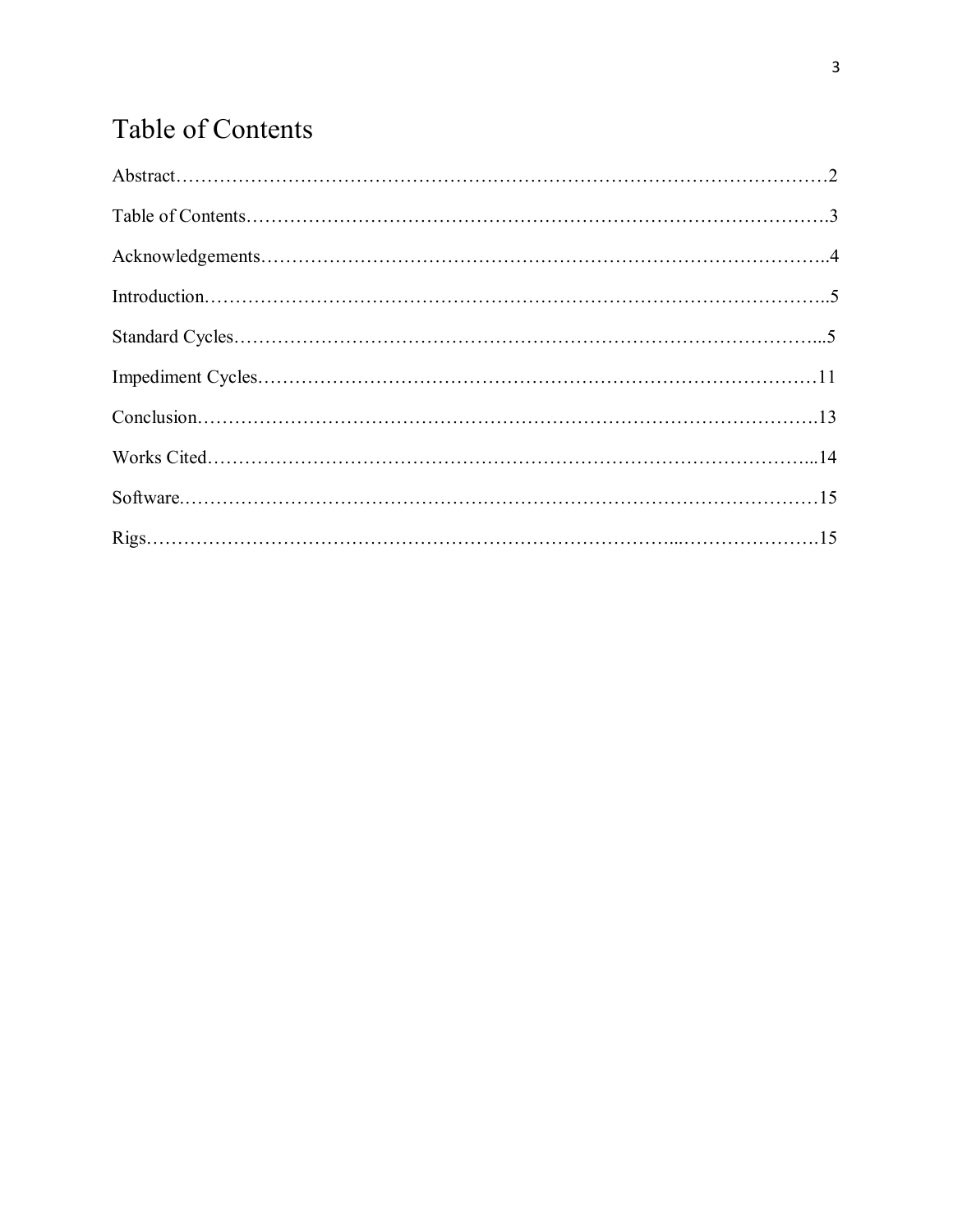# Table of Contents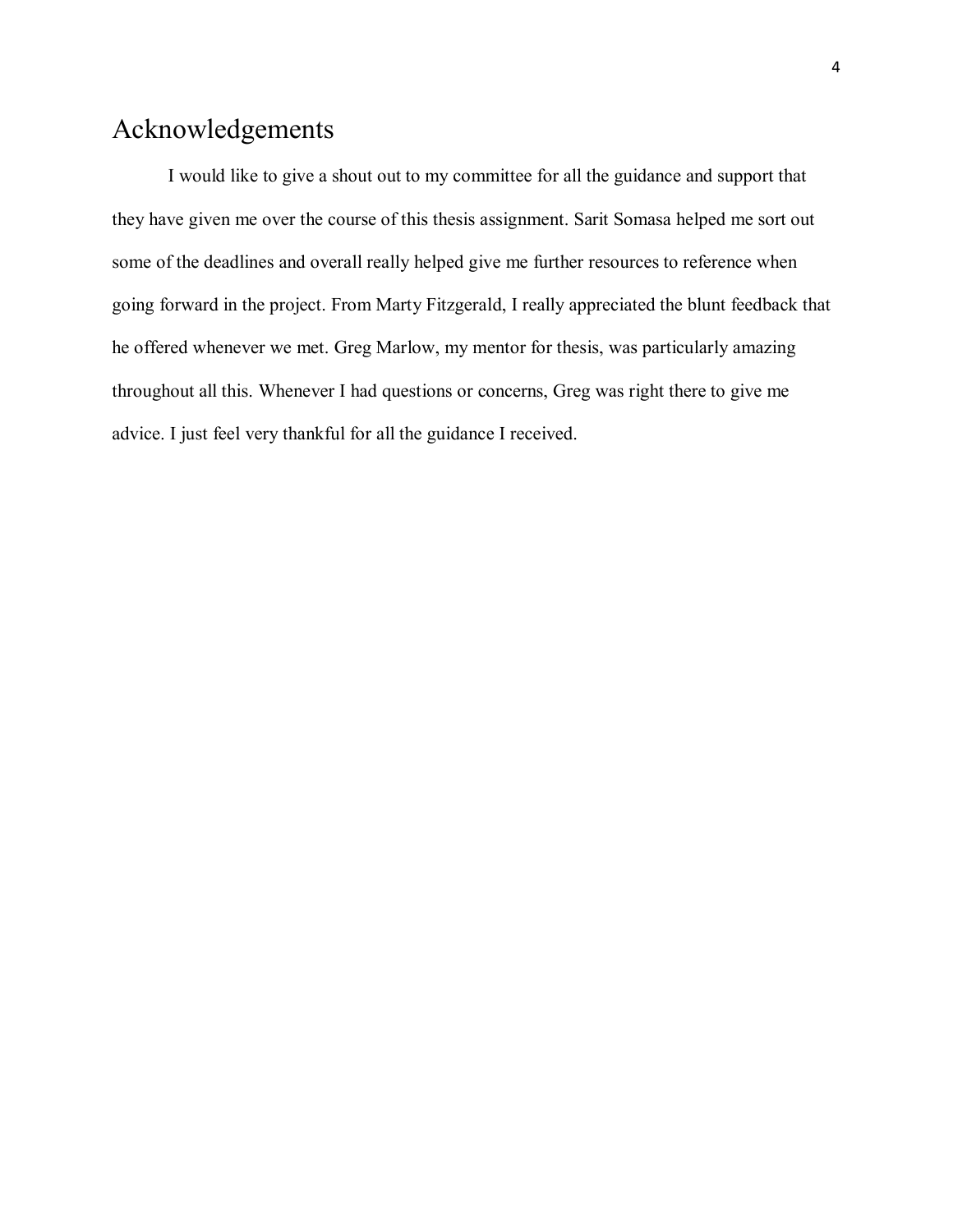## Acknowledgements

I would like to give a shout out to my committee for all the guidance and support that they have given me over the course of this thesis assignment. Sarit Somasa helped me sort out some of the deadlines and overall really helped give me further resources to reference when going forward in the project. From Marty Fitzgerald, I really appreciated the blunt feedback that he offered whenever we met. Greg Marlow, my mentor for thesis, was particularly amazing throughout all this. Whenever I had questions or concerns, Greg was right there to give me advice. I just feel very thankful for all the guidance I received.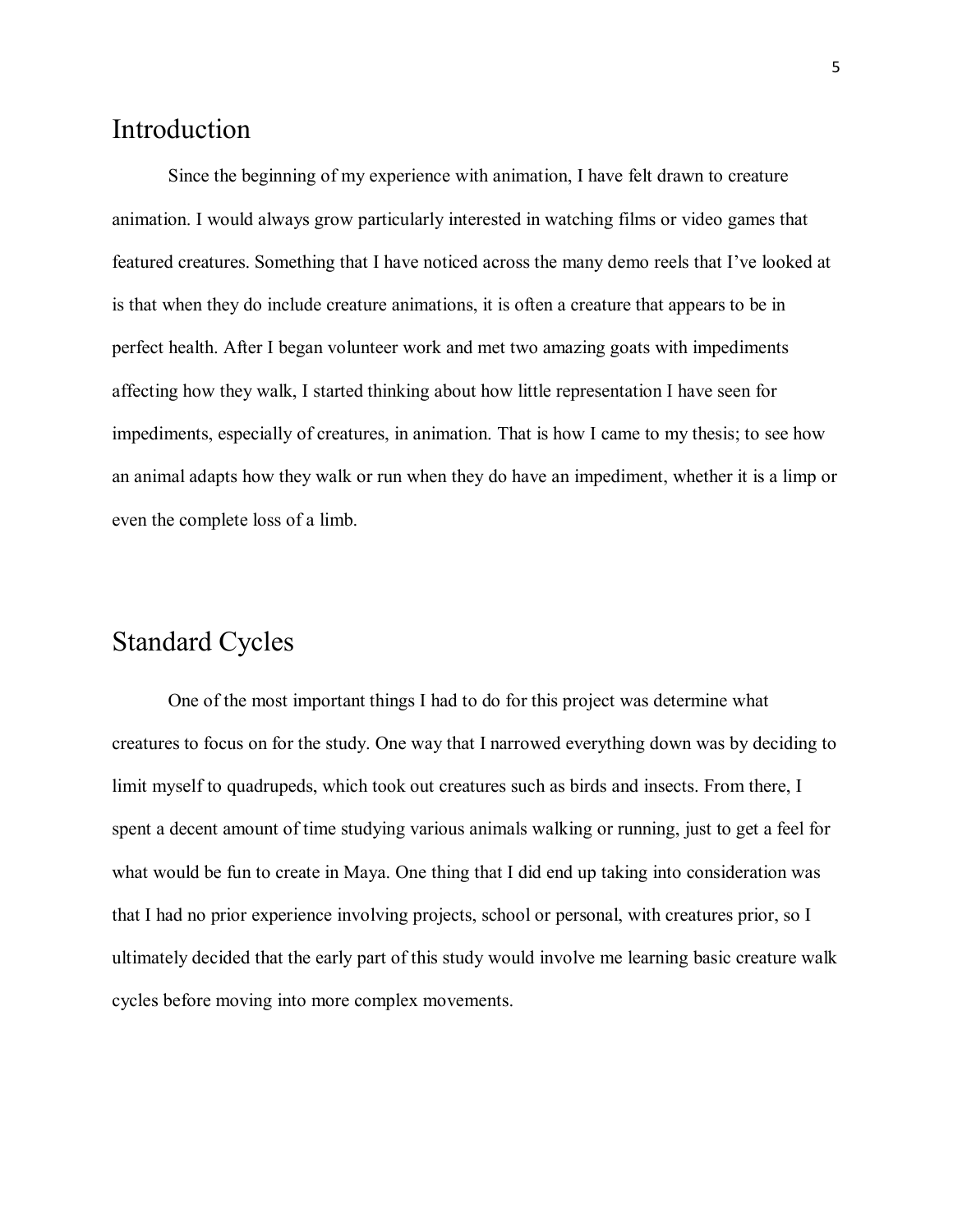#### Introduction

Since the beginning of my experience with animation, I have felt drawn to creature animation. I would always grow particularly interested in watching films or video games that featured creatures. Something that I have noticed across the many demo reels that I've looked at is that when they do include creature animations, it is often a creature that appears to be in perfect health. After I began volunteer work and met two amazing goats with impediments affecting how they walk, I started thinking about how little representation I have seen for impediments, especially of creatures, in animation. That is how I came to my thesis; to see how an animal adapts how they walk or run when they do have an impediment, whether it is a limp or even the complete loss of a limb.

#### Standard Cycles

One of the most important things I had to do for this project was determine what creatures to focus on for the study. One way that I narrowed everything down was by deciding to limit myself to quadrupeds, which took out creatures such as birds and insects. From there, I spent a decent amount of time studying various animals walking or running, just to get a feel for what would be fun to create in Maya. One thing that I did end up taking into consideration was that I had no prior experience involving projects, school or personal, with creatures prior, so I ultimately decided that the early part of this study would involve me learning basic creature walk cycles before moving into more complex movements.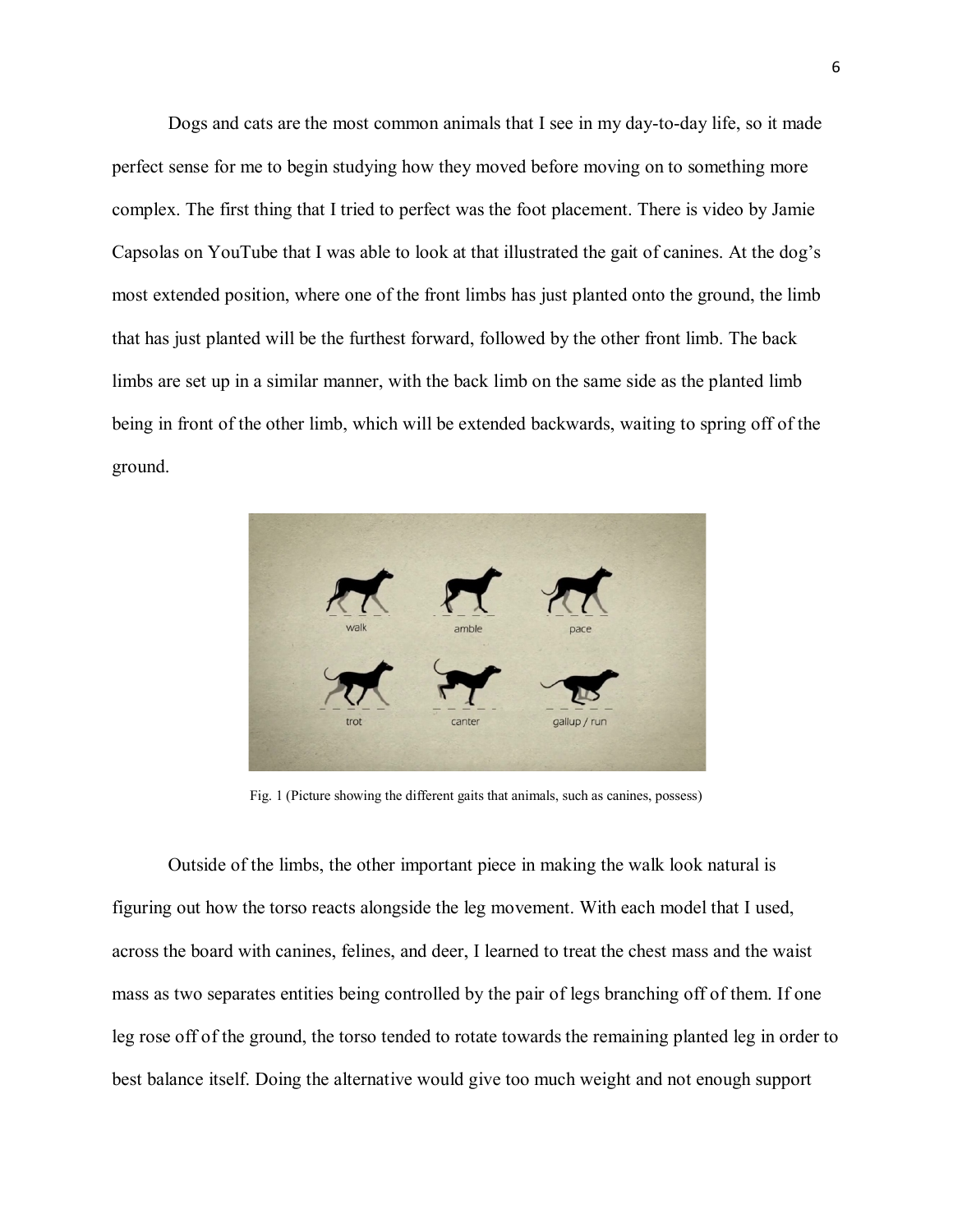Dogs and cats are the most common animals that I see in my day-to-day life, so it made perfect sense for me to begin studying how they moved before moving on to something more complex. The first thing that I tried to perfect was the foot placement. There is video by Jamie Capsolas on YouTube that I was able to look at that illustrated the gait of canines. At the dog's most extended position, where one of the front limbs has just planted onto the ground, the limb that has just planted will be the furthest forward, followed by the other front limb. The back limbs are set up in a similar manner, with the back limb on the same side as the planted limb being in front of the other limb, which will be extended backwards, waiting to spring off of the ground.



Fig. 1 (Picture showing the different gaits that animals, such as canines, possess)

Outside of the limbs, the other important piece in making the walk look natural is figuring out how the torso reacts alongside the leg movement. With each model that I used, across the board with canines, felines, and deer, I learned to treat the chest mass and the waist mass as two separates entities being controlled by the pair of legs branching off of them. If one leg rose off of the ground, the torso tended to rotate towards the remaining planted leg in order to best balance itself. Doing the alternative would give too much weight and not enough support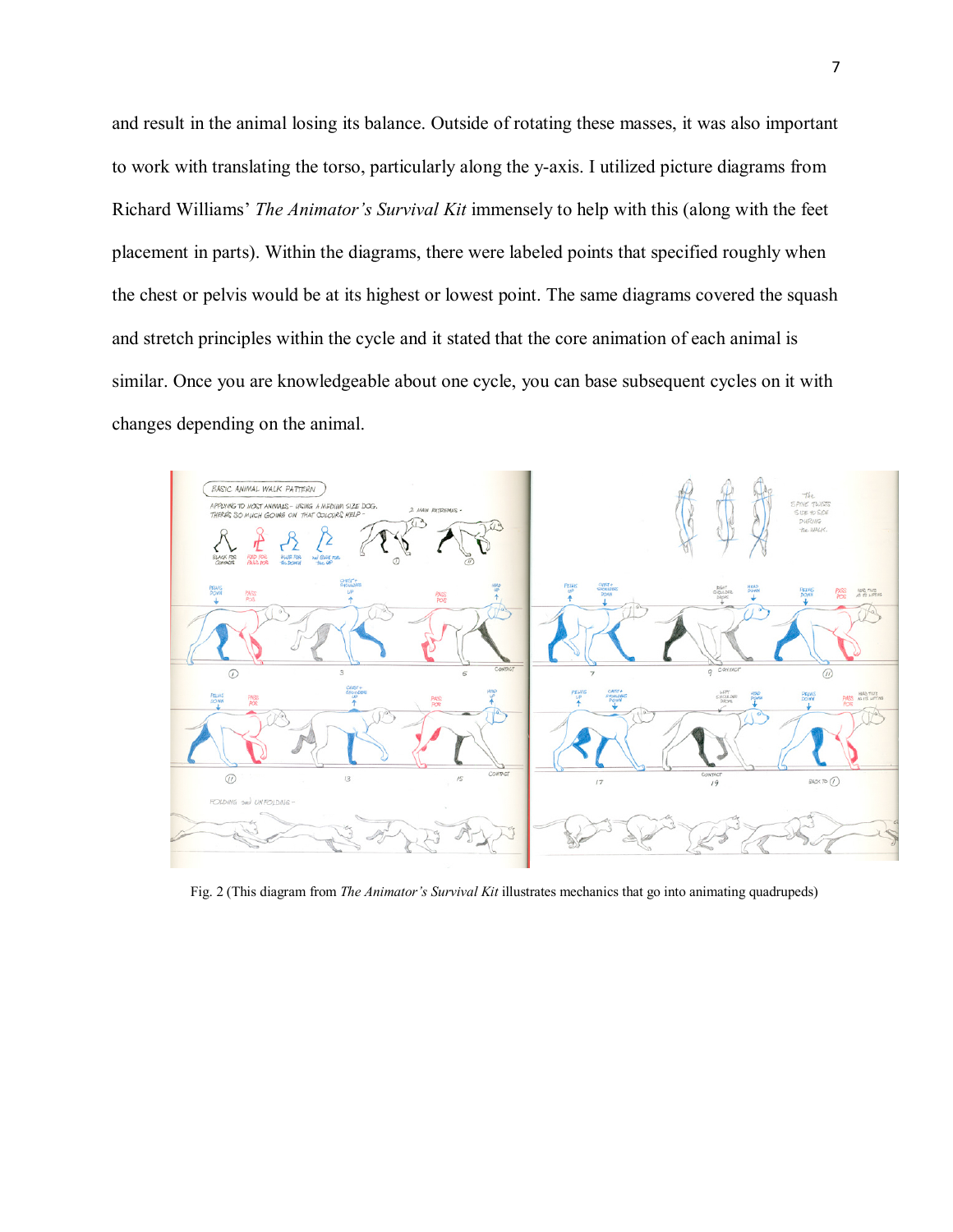and result in the animal losing its balance. Outside of rotating these masses, it was also important to work with translating the torso, particularly along the y-axis. I utilized picture diagrams from Richard Williams' *The Animator's Survival Kit* immensely to help with this (along with the feet placement in parts). Within the diagrams, there were labeled points that specified roughly when the chest or pelvis would be at its highest or lowest point. The same diagrams covered the squash and stretch principles within the cycle and it stated that the core animation of each animal is similar. Once you are knowledgeable about one cycle, you can base subsequent cycles on it with changes depending on the animal.



Fig. 2 (This diagram from *The Animator's Survival Kit* illustrates mechanics that go into animating quadrupeds)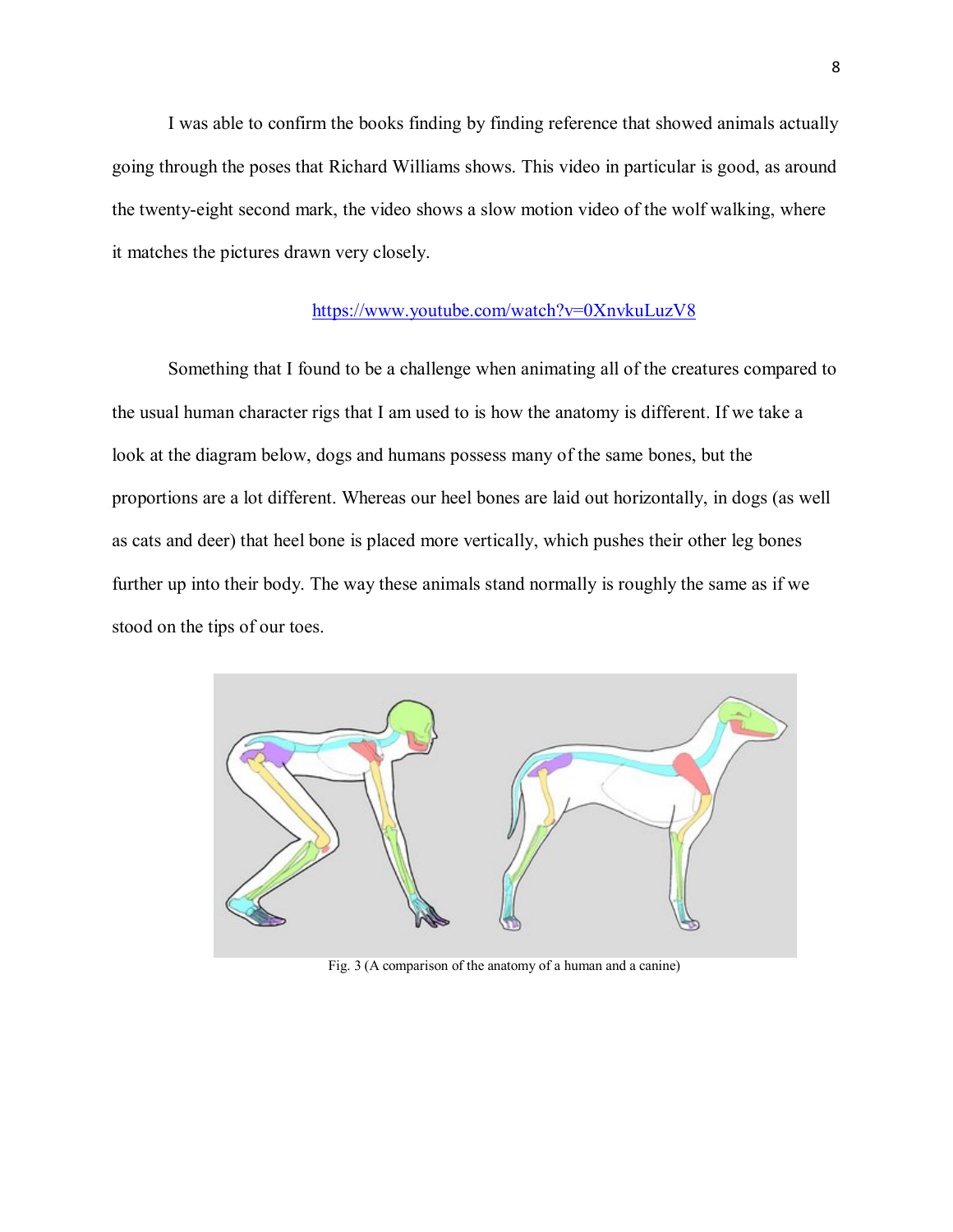I was able to confirm the books finding by finding reference that showed animals actually going through the poses that Richard Williams shows. This video in particular is good, as around the twenty-eight second mark, the video shows a slow motion video of the wolf walking, where it matches the pictures drawn very closely.

#### <https://www.youtube.com/watch?v=0XnvkuLuzV8>

Something that I found to be a challenge when animating all of the creatures compared to the usual human character rigs that I am used to is how the anatomy is different. If we take a look at the diagram below, dogs and humans possess many of the same bones, but the proportions are a lot different. Whereas our heel bones are laid out horizontally, in dogs (as well as cats and deer) that heel bone is placed more vertically, which pushes their other leg bones further up into their body. The way these animals stand normally is roughly the same as if we stood on the tips of our toes.



Fig. 3 (A comparison of the anatomy of a human and a canine)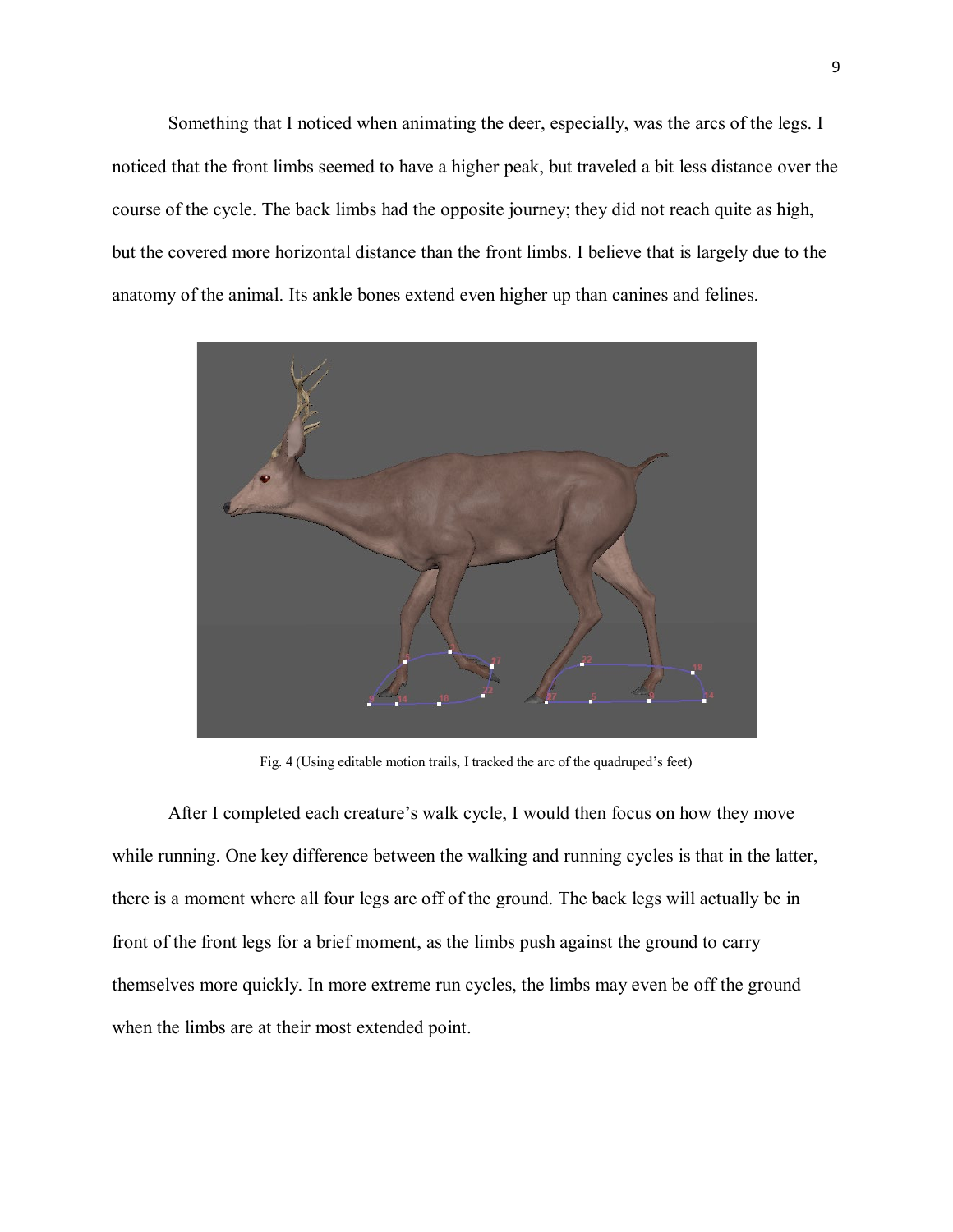Something that I noticed when animating the deer, especially, was the arcs of the legs. I noticed that the front limbs seemed to have a higher peak, but traveled a bit less distance over the course of the cycle. The back limbs had the opposite journey; they did not reach quite as high, but the covered more horizontal distance than the front limbs. I believe that is largely due to the anatomy of the animal. Its ankle bones extend even higher up than canines and felines.



Fig. 4 (Using editable motion trails, I tracked the arc of the quadruped's feet)

After I completed each creature's walk cycle, I would then focus on how they move while running. One key difference between the walking and running cycles is that in the latter, there is a moment where all four legs are off of the ground. The back legs will actually be in front of the front legs for a brief moment, as the limbs push against the ground to carry themselves more quickly. In more extreme run cycles, the limbs may even be off the ground when the limbs are at their most extended point.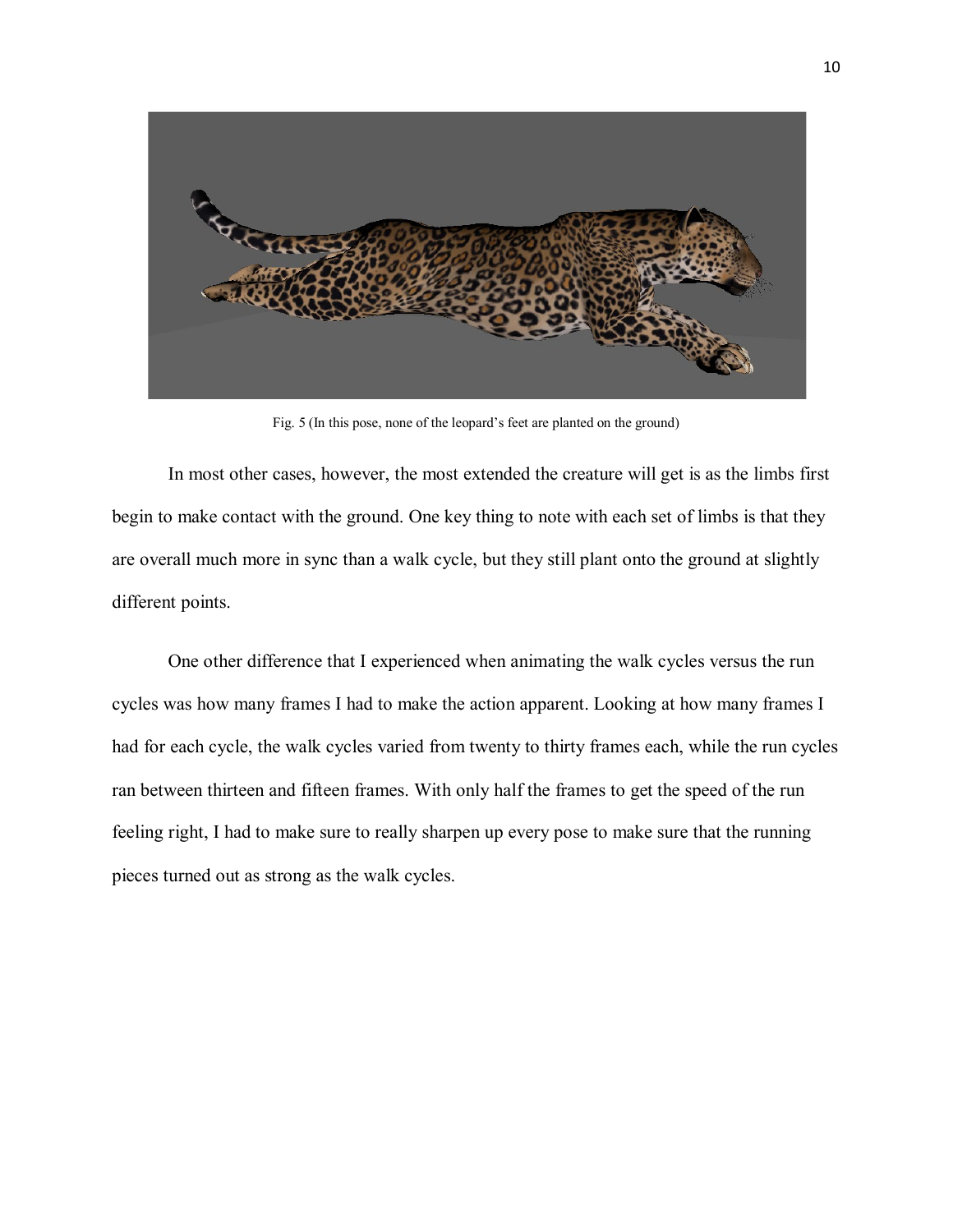

Fig. 5 (In this pose, none of the leopard's feet are planted on the ground)

In most other cases, however, the most extended the creature will get is as the limbs first begin to make contact with the ground. One key thing to note with each set of limbs is that they are overall much more in sync than a walk cycle, but they still plant onto the ground at slightly different points.

One other difference that I experienced when animating the walk cycles versus the run cycles was how many frames I had to make the action apparent. Looking at how many frames I had for each cycle, the walk cycles varied from twenty to thirty frames each, while the run cycles ran between thirteen and fifteen frames. With only half the frames to get the speed of the run feeling right, I had to make sure to really sharpen up every pose to make sure that the running pieces turned out as strong as the walk cycles.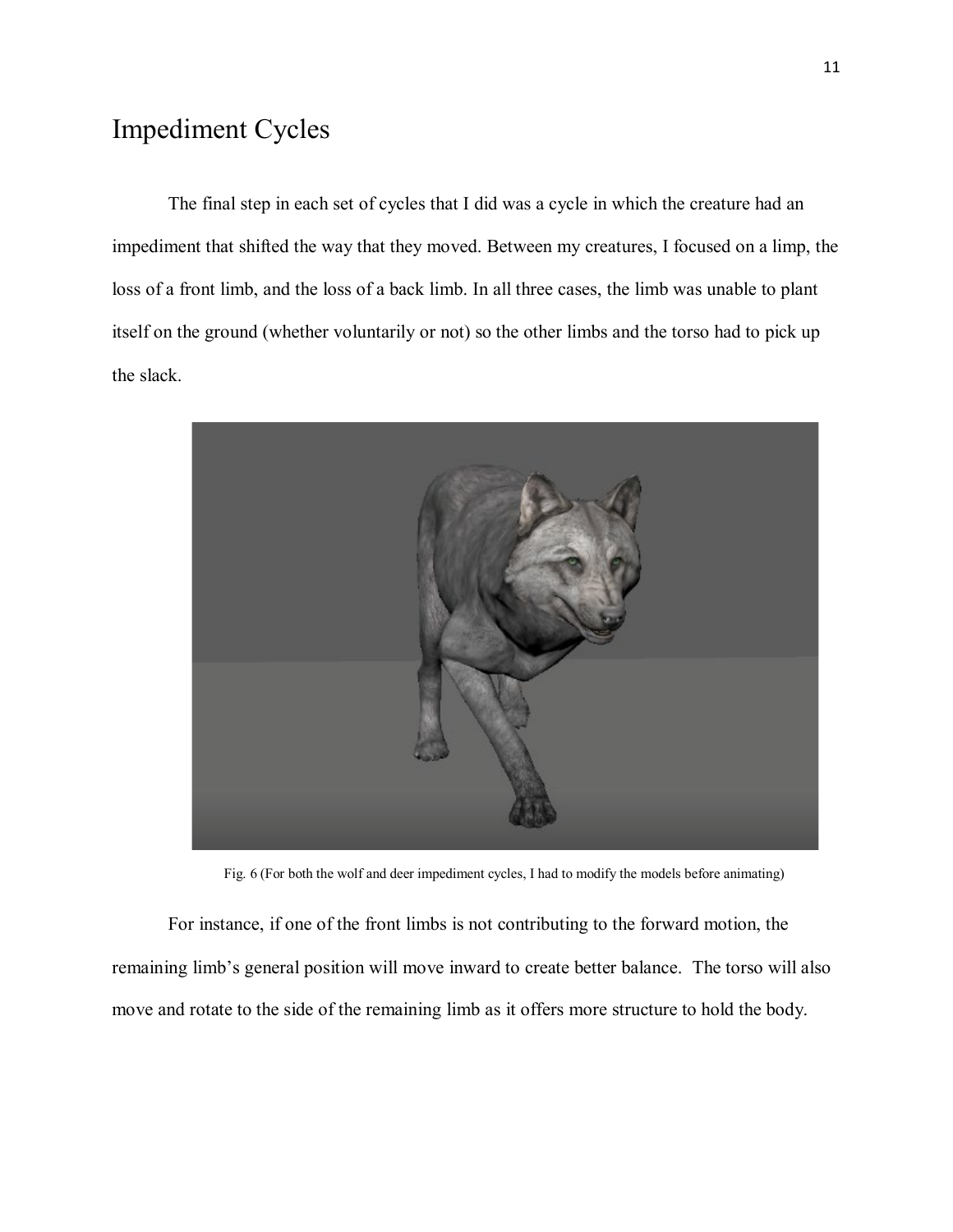# Impediment Cycles

The final step in each set of cycles that I did was a cycle in which the creature had an impediment that shifted the way that they moved. Between my creatures, I focused on a limp, the loss of a front limb, and the loss of a back limb. In all three cases, the limb was unable to plant itself on the ground (whether voluntarily or not) so the other limbs and the torso had to pick up the slack.



Fig. 6 (For both the wolf and deer impediment cycles, I had to modify the models before animating)

For instance, if one of the front limbs is not contributing to the forward motion, the remaining limb's general position will move inward to create better balance. The torso will also move and rotate to the side of the remaining limb as it offers more structure to hold the body.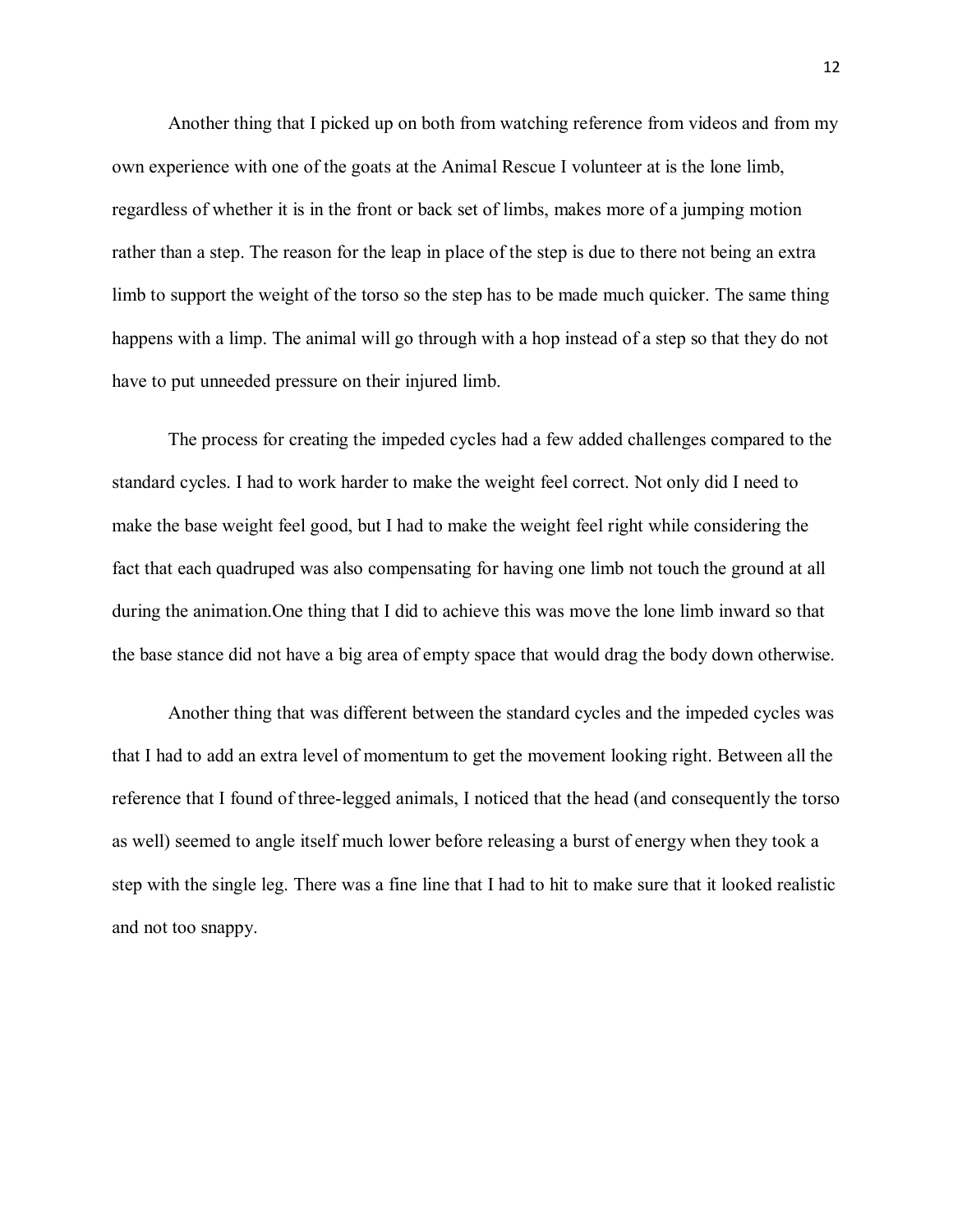Another thing that I picked up on both from watching reference from videos and from my own experience with one of the goats at the Animal Rescue I volunteer at is the lone limb, regardless of whether it is in the front or back set of limbs, makes more of a jumping motion rather than a step. The reason for the leap in place of the step is due to there not being an extra limb to support the weight of the torso so the step has to be made much quicker. The same thing happens with a limp. The animal will go through with a hop instead of a step so that they do not have to put unneeded pressure on their injured limb.

The process for creating the impeded cycles had a few added challenges compared to the standard cycles. I had to work harder to make the weight feel correct. Not only did I need to make the base weight feel good, but I had to make the weight feel right while considering the fact that each quadruped was also compensating for having one limb not touch the ground at all during the animation.One thing that I did to achieve this was move the lone limb inward so that the base stance did not have a big area of empty space that would drag the body down otherwise.

Another thing that was different between the standard cycles and the impeded cycles was that I had to add an extra level of momentum to get the movement looking right. Between all the reference that I found of three-legged animals, I noticed that the head (and consequently the torso as well) seemed to angle itself much lower before releasing a burst of energy when they took a step with the single leg. There was a fine line that I had to hit to make sure that it looked realistic and not too snappy.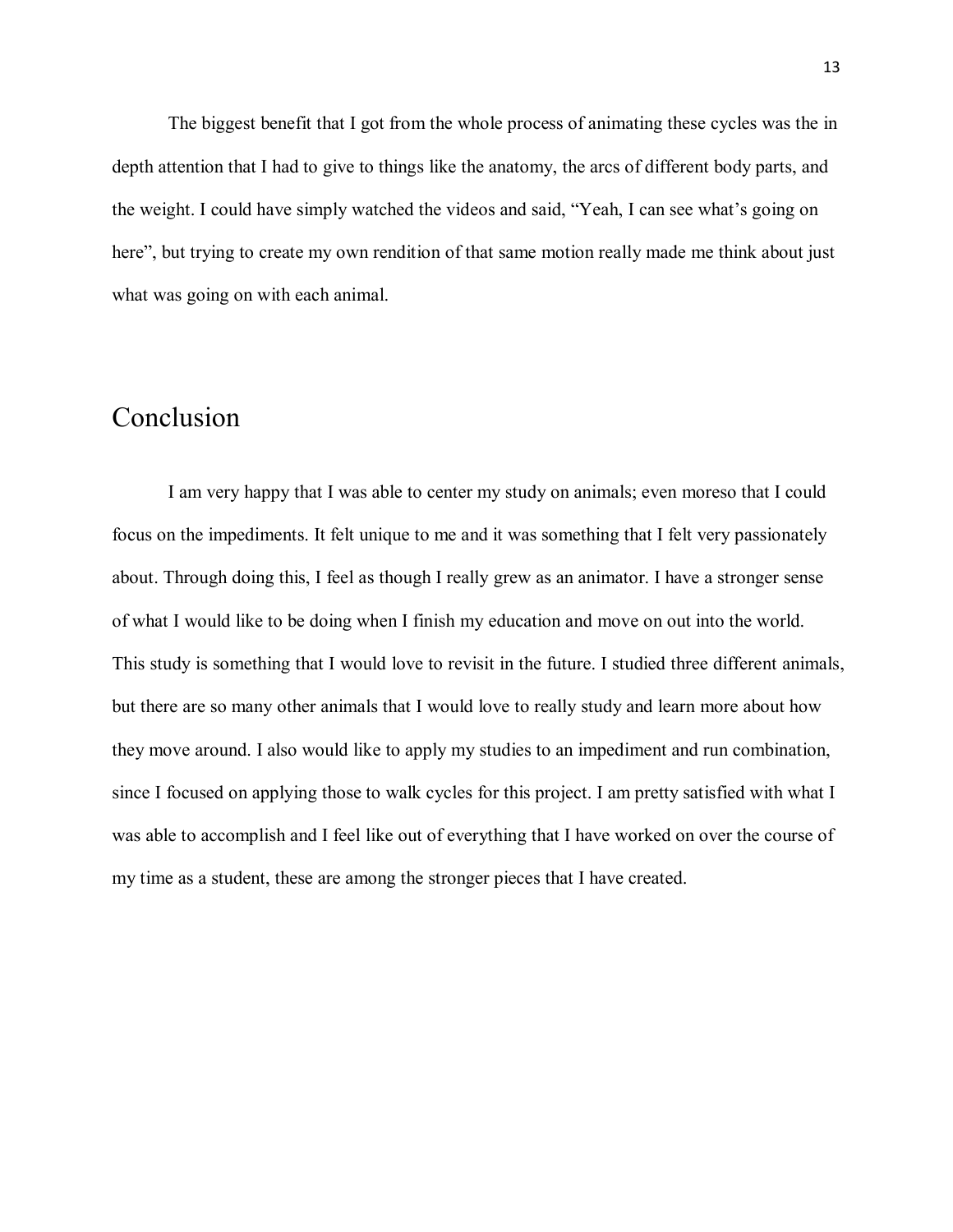The biggest benefit that I got from the whole process of animating these cycles was the in depth attention that I had to give to things like the anatomy, the arcs of different body parts, and the weight. I could have simply watched the videos and said, "Yeah, I can see what's going on here", but trying to create my own rendition of that same motion really made me think about just what was going on with each animal.

#### Conclusion

I am very happy that I was able to center my study on animals; even moreso that I could focus on the impediments. It felt unique to me and it was something that I felt very passionately about. Through doing this, I feel as though I really grew as an animator. I have a stronger sense of what I would like to be doing when I finish my education and move on out into the world. This study is something that I would love to revisit in the future. I studied three different animals, but there are so many other animals that I would love to really study and learn more about how they move around. I also would like to apply my studies to an impediment and run combination, since I focused on applying those to walk cycles for this project. I am pretty satisfied with what I was able to accomplish and I feel like out of everything that I have worked on over the course of my time as a student, these are among the stronger pieces that I have created.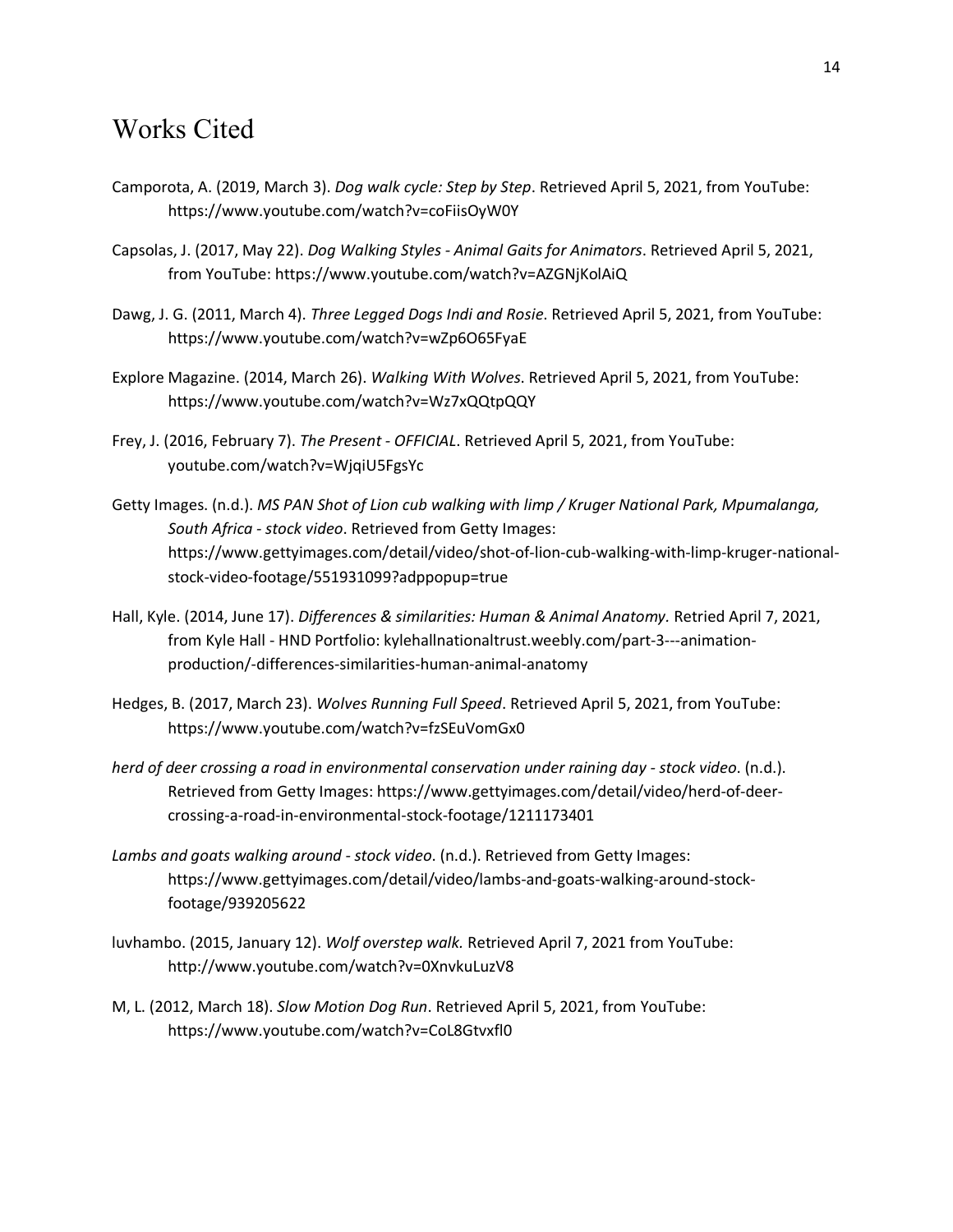#### Works Cited

- Camporota, A. (2019, March 3). *Dog walk cycle: Step by Step*. Retrieved April 5, 2021, from YouTube: https://www.youtube.com/watch?v=coFiisOyW0Y
- Capsolas, J. (2017, May 22). *Dog Walking Styles - Animal Gaits for Animators*. Retrieved April 5, 2021, from YouTube: https://www.youtube.com/watch?v=AZGNjKolAiQ
- Dawg, J. G. (2011, March 4). *Three Legged Dogs Indi and Rosie*. Retrieved April 5, 2021, from YouTube: https://www.youtube.com/watch?v=wZp6O65FyaE
- Explore Magazine. (2014, March 26). *Walking With Wolves*. Retrieved April 5, 2021, from YouTube: https://www.youtube.com/watch?v=Wz7xQQtpQQY
- Frey, J. (2016, February 7). *The Present - OFFICIAL*. Retrieved April 5, 2021, from YouTube: youtube.com/watch?v=WjqiU5FgsYc
- Getty Images. (n.d.). *MS PAN Shot of Lion cub walking with limp / Kruger National Park, Mpumalanga, South Africa - stock video*. Retrieved from Getty Images: https://www.gettyimages.com/detail/video/shot-of-lion-cub-walking-with-limp-kruger-nationalstock-video-footage/551931099?adppopup=true
- Hall, Kyle. (2014, June 17). *Differences & similarities: Human & Animal Anatomy.* Retried April 7, 2021, from Kyle Hall - HND Portfolio: kylehallnationaltrust.weebly.com/part-3---animationproduction/-differences-similarities-human-animal-anatomy
- Hedges, B. (2017, March 23). *Wolves Running Full Speed*. Retrieved April 5, 2021, from YouTube: https://www.youtube.com/watch?v=fzSEuVomGx0
- *herd of deer crossing a road in environmental conservation under raining day - stock video*. (n.d.). Retrieved from Getty Images: https://www.gettyimages.com/detail/video/herd-of-deercrossing-a-road-in-environmental-stock-footage/1211173401
- *Lambs and goats walking around - stock video*. (n.d.). Retrieved from Getty Images: https://www.gettyimages.com/detail/video/lambs-and-goats-walking-around-stockfootage/939205622
- luvhambo. (2015, January 12). *Wolf overstep walk.* Retrieved April 7, 2021 from YouTube: http://www.youtube.com/watch?v=0XnvkuLuzV8
- M, L. (2012, March 18). *Slow Motion Dog Run*. Retrieved April 5, 2021, from YouTube: https://www.youtube.com/watch?v=CoL8Gtvxfl0